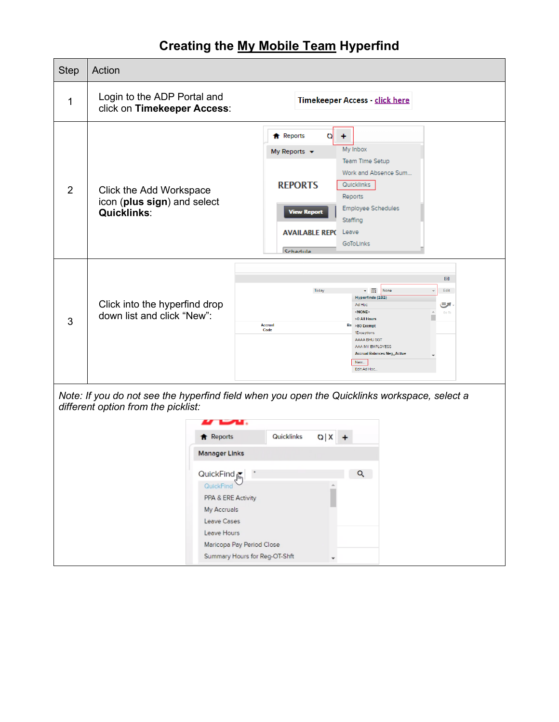## **Creating the My Mobile Team Hyperfind**

| <b>Step</b>                                                                                                                                                  | Action                                                                       |                                                                                                                                                                                                                                                                                                               |  |  |  |  |
|--------------------------------------------------------------------------------------------------------------------------------------------------------------|------------------------------------------------------------------------------|---------------------------------------------------------------------------------------------------------------------------------------------------------------------------------------------------------------------------------------------------------------------------------------------------------------|--|--|--|--|
| 1                                                                                                                                                            | Login to the ADP Portal and<br>click on Timekeeper Access:                   | Timekeeper Access - click here                                                                                                                                                                                                                                                                                |  |  |  |  |
| 2                                                                                                                                                            | Click the Add Workspace<br>icon (plus sign) and select<br><b>Quicklinks:</b> | <b>f</b> Reports<br>o<br>÷<br>My Inbox<br>My Reports $\blacktriangledown$<br>Team Time Setup<br>Work and Absence Sum<br><b>REPORTS</b><br>Quicklinks<br>Reports<br><b>Employee Schedules</b><br><b>View Report</b><br>Staffing<br><b>AVAILABLE REPC</b><br>Leave<br>GoToLinks<br>Schedule                     |  |  |  |  |
| 3                                                                                                                                                            | Click into the hyperfind drop<br>down list and click "New":                  | $\boxed{\square}$<br>None<br>v m<br>Edit<br>Today<br>Hyperfinds (232)<br>، ات<br>Ad Hoc<br><none><br/>Go To<br/>&gt;0 All Hours<br/><b>Accrual</b><br/>Ba &gt;80 Exempt<br/>Code<br/>1Exceptions<br/>AAAA BHU SGT<br/>AAA MY EMPLOYESS<br/><b>Accrual Balances Neg_Active</b><br/>New<br/>Edit Ad Hoc.</none> |  |  |  |  |
| Note: If you do not see the hyperfind field when you open the Quicklinks workspace, select a<br>different option from the picklist:<br>Quicklinks            |                                                                              |                                                                                                                                                                                                                                                                                                               |  |  |  |  |
| <b>f</b> Reports<br>Q X <br><b>Manager Links</b>                                                                                                             |                                                                              |                                                                                                                                                                                                                                                                                                               |  |  |  |  |
| QuickFind<br>Q<br>QuickFind<br>PPA & ERE Activity<br>My Accruals<br>Leave Cases<br>Leave Hours<br>Maricopa Pay Period Close<br>Summary Hours for Reg-OT-Shft |                                                                              |                                                                                                                                                                                                                                                                                                               |  |  |  |  |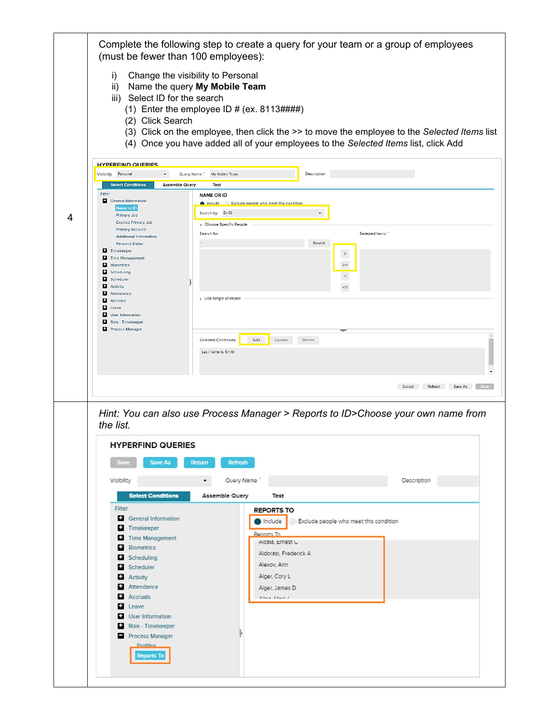|   | Complete the following step to create a query for your team or a group of employees<br>(must be fewer than 100 employees):                                                                                                                                                                                                                                                                                                                                                                                                                                                                                                                                 |
|---|------------------------------------------------------------------------------------------------------------------------------------------------------------------------------------------------------------------------------------------------------------------------------------------------------------------------------------------------------------------------------------------------------------------------------------------------------------------------------------------------------------------------------------------------------------------------------------------------------------------------------------------------------------|
|   | Change the visibility to Personal<br>i)<br>Name the query My Mobile Team<br>$\mathsf{ii}$<br>iii) Select ID for the search<br>(1) Enter the employee ID # (ex. $8113\# \# \#$ )<br>(2) Click Search<br>(3) Click on the employee, then click the >> to move the employee to the Selected Items list<br>(4) Once you have added all of your employees to the Selected Items list, click Add                                                                                                                                                                                                                                                                 |
|   | <b>HYPEREIND QUERIES</b><br>Visibility Personal<br>Description<br>٠<br>Query Name<br>My Mobile Team<br><b>Select Conditions</b><br><b>Assemble Query</b><br>Test<br>Filter<br><b>NAME OR ID</b><br>General Information<br>nclude Exclude people who meet this condition                                                                                                                                                                                                                                                                                                                                                                                    |
| 4 | Name or ID<br>Search by By ID<br>٠<br><b>Primary Job</b><br><b>Expired Primary Job</b><br>Choose Specific People<br><b>Primary Account</b><br>Search for<br>Selected Items<br><b>Additional Information</b><br>Search<br>Person's Dates<br>Timekeeper<br>$\,$ $\,$<br>o<br><b>Time Management</b><br>o<br><b>Biometrics</b><br>$\,>$<br>o<br>Scheduling<br>$\,<$<br>Ш<br>Scheduler<br>в<br>Activity<br>$<<$<br>٠<br>Attendance<br>▶ Use Single Wildcard<br>в<br><b>Accruals</b><br>в<br>Leave<br>н<br>User Information<br>9.<br>Role - Timekeeper<br><b>Process Manager</b><br>Update<br><b>Selected Conditions</b><br>Add<br>Delete<br>Last name is Smith |
|   | <b>Cancel Refresh Save As Save</b>                                                                                                                                                                                                                                                                                                                                                                                                                                                                                                                                                                                                                         |
|   | Hint: You can also use Process Manager > Reports to ID>Choose your own name from<br>the list.<br><b>HYPERFIND QUERIES</b><br>Save<br>Save As<br><b>Return</b><br><b>Refresh</b>                                                                                                                                                                                                                                                                                                                                                                                                                                                                            |
|   | Description<br><b>Visibility</b><br>۰<br>Query Name                                                                                                                                                                                                                                                                                                                                                                                                                                                                                                                                                                                                        |
|   | <b>Select Conditions</b><br><b>Assemble Query</b><br><b>Test</b><br>Filter<br><b>REPORTS TO</b><br><b>General Information</b><br>Include<br>Exclude people who meet this condition<br>٠.<br>Timekeeper<br>Reports To<br>Time Management<br>Alcala, Ernest C<br><b>Biometrics</b><br>Aldorasi, Frederick A<br>Scheduling<br>Alexov, Ann<br>Scheduler<br>Alger, Cory L<br><b>Activity</b><br>Attendance<br>Alger, James D<br><b>Accruals</b><br>Allan Mandell<br>Leave<br>User Information<br>Role - Timekeeper<br>٠.<br>Process Manager<br><b>Profiles</b><br><b>Reports To</b>                                                                             |